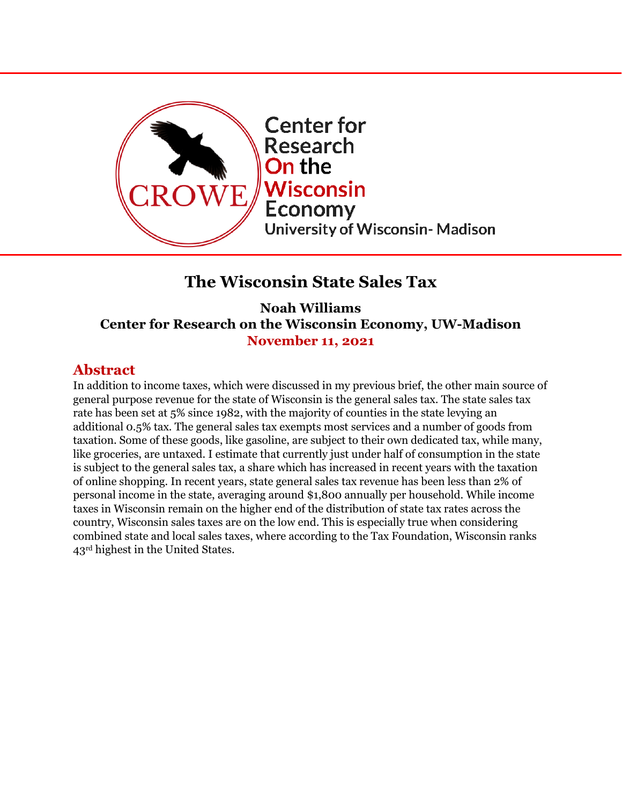

# **The Wisconsin State Sales Tax**

**Noah Williams Center for Research on the Wisconsin Economy, UW-Madison November 11, 2021** 

## **Abstract**

In addition to income taxes, which were discussed in my previous brief, the other main source of general purpose revenue for the state of Wisconsin is the general sales tax. The state sales tax rate has been set at 5% since 1982, with the majority of counties in the state levying an additional 0.5% tax. The general sales tax exempts most services and a number of goods from taxation. Some of these goods, like gasoline, are subject to their own dedicated tax, while many, like groceries, are untaxed. I estimate that currently just under half of consumption in the state is subject to the general sales tax, a share which has increased in recent years with the taxation of online shopping. In recent years, state general sales tax revenue has been less than 2% of personal income in the state, averaging around \$1,800 annually per household. While income taxes in Wisconsin remain on the higher end of the distribution of state tax rates across the country, Wisconsin sales taxes are on the low end. This is especially true when considering combined state and local sales taxes, where according to the Tax Foundation, Wisconsin ranks 43rd highest in the United States.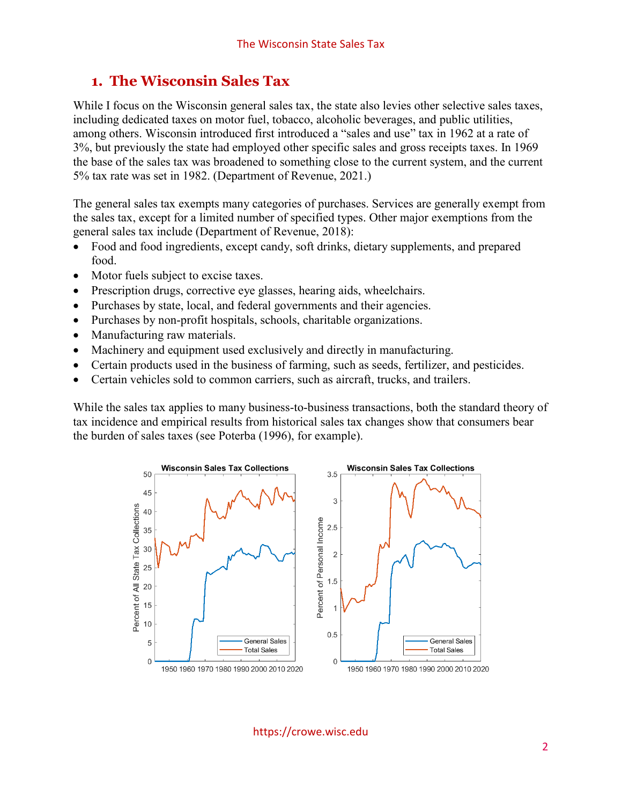#### **1. The Wisconsin Sales Tax**

While I focus on the Wisconsin general sales tax, the state also levies other selective sales taxes, including dedicated taxes on motor fuel, tobacco, alcoholic beverages, and public utilities, among others. Wisconsin introduced first introduced a "sales and use" tax in 1962 at a rate of 3%, but previously the state had employed other specific sales and gross receipts taxes. In 1969 the base of the sales tax was broadened to something close to the current system, and the current 5% tax rate was set in 1982. (Department of Revenue, 2021.)

The general sales tax exempts many categories of purchases. Services are generally exempt from the sales tax, except for a limited number of specified types. Other major exemptions from the general sales tax include (Department of Revenue, 2018):

- Food and food ingredients, except candy, soft drinks, dietary supplements, and prepared food.
- Motor fuels subject to excise taxes.
- Prescription drugs, corrective eye glasses, hearing aids, wheelchairs.
- Purchases by state, local, and federal governments and their agencies.
- Purchases by non-profit hospitals, schools, charitable organizations.
- Manufacturing raw materials.
- Machinery and equipment used exclusively and directly in manufacturing.
- Certain products used in the business of farming, such as seeds, fertilizer, and pesticides.
- Certain vehicles sold to common carriers, such as aircraft, trucks, and trailers.

While the sales tax applies to many business-to-business transactions, both the standard theory of tax incidence and empirical results from historical sales tax changes show that consumers bear the burden of sales taxes (see Poterba (1996), for example).



https://crowe.wisc.edu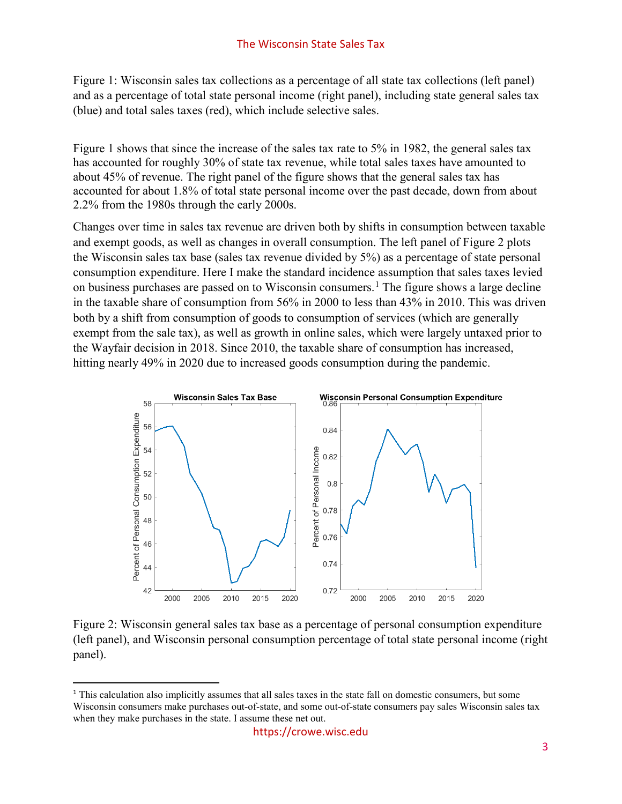Figure 1: Wisconsin sales tax collections as a percentage of all state tax collections (left panel) and as a percentage of total state personal income (right panel), including state general sales tax (blue) and total sales taxes (red), which include selective sales.

Figure 1 shows that since the increase of the sales tax rate to 5% in 1982, the general sales tax has accounted for roughly 30% of state tax revenue, while total sales taxes have amounted to about 45% of revenue. The right panel of the figure shows that the general sales tax has accounted for about 1.8% of total state personal income over the past decade, down from about 2.2% from the 1980s through the early 2000s.

Changes over time in sales tax revenue are driven both by shifts in consumption between taxable and exempt goods, as well as changes in overall consumption. The left panel of Figure 2 plots the Wisconsin sales tax base (sales tax revenue divided by 5%) as a percentage of state personal consumption expenditure. Here I make the standard incidence assumption that sales taxes levied on business purchases are passed on to Wisconsin consumers.[1](#page-2-0) The figure shows a large decline in the taxable share of consumption from 56% in 2000 to less than 43% in 2010. This was driven both by a shift from consumption of goods to consumption of services (which are generally exempt from the sale tax), as well as growth in online sales, which were largely untaxed prior to the Wayfair decision in 2018. Since 2010, the taxable share of consumption has increased, hitting nearly 49% in 2020 due to increased goods consumption during the pandemic.



Figure 2: Wisconsin general sales tax base as a percentage of personal consumption expenditure (left panel), and Wisconsin personal consumption percentage of total state personal income (right panel).

<span id="page-2-0"></span><sup>&</sup>lt;sup>1</sup> This calculation also implicitly assumes that all sales taxes in the state fall on domestic consumers, but some Wisconsin consumers make purchases out-of-state, and some out-of-state consumers pay sales Wisconsin sales tax when they make purchases in the state. I assume these net out.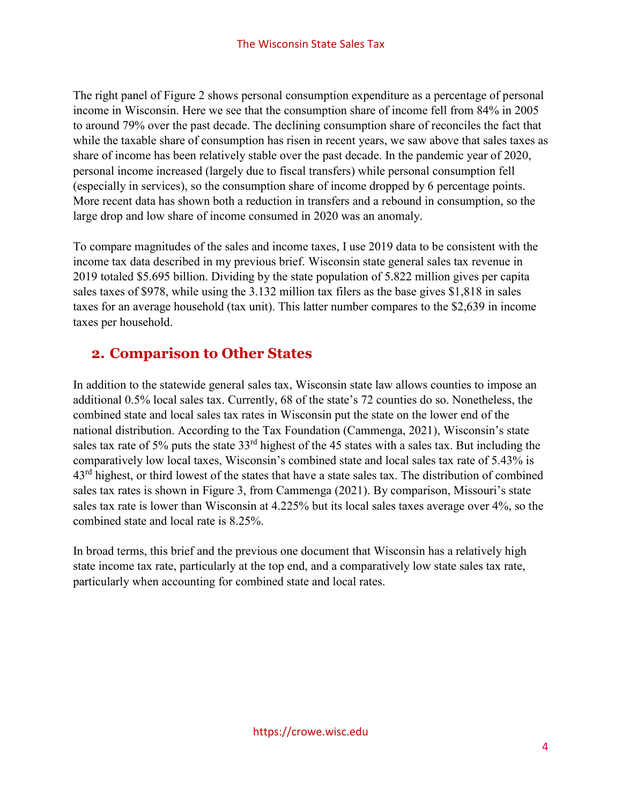The right panel of Figure 2 shows personal consumption expenditure as a percentage of personal income in Wisconsin. Here we see that the consumption share of income fell from 84% in 2005 to around 79% over the past decade. The declining consumption share of reconciles the fact that while the taxable share of consumption has risen in recent years, we saw above that sales taxes as share of income has been relatively stable over the past decade. In the pandemic year of 2020, personal income increased (largely due to fiscal transfers) while personal consumption fell (especially in services), so the consumption share of income dropped by 6 percentage points. More recent data has shown both a reduction in transfers and a rebound in consumption, so the large drop and low share of income consumed in 2020 was an anomaly.

To compare magnitudes of the sales and income taxes, I use 2019 data to be consistent with the income tax data described in my previous brief. Wisconsin state general sales tax revenue in 2019 totaled \$5.695 billion. Dividing by the state population of 5.822 million gives per capita sales taxes of \$978, while using the 3.132 million tax filers as the base gives \$1,818 in sales taxes for an average household (tax unit). This latter number compares to the \$2,639 in income taxes per household.

# **2. Comparison to Other States**

In addition to the statewide general sales tax, Wisconsin state law allows counties to impose an additional 0.5% local sales tax. Currently, 68 of the state's 72 counties do so. Nonetheless, the combined state and local sales tax rates in Wisconsin put the state on the lower end of the national distribution. According to the Tax Foundation (Cammenga, 2021), Wisconsin's state sales tax rate of 5% puts the state 33<sup>rd</sup> highest of the 45 states with a sales tax. But including the comparatively low local taxes, Wisconsin's combined state and local sales tax rate of 5.43% is 43<sup>rd</sup> highest, or third lowest of the states that have a state sales tax. The distribution of combined sales tax rates is shown in Figure 3, from Cammenga (2021). By comparison, Missouri's state sales tax rate is lower than Wisconsin at 4.225% but its local sales taxes average over 4%, so the combined state and local rate is 8.25%.

In broad terms, this brief and the previous one document that Wisconsin has a relatively high state income tax rate, particularly at the top end, and a comparatively low state sales tax rate, particularly when accounting for combined state and local rates.